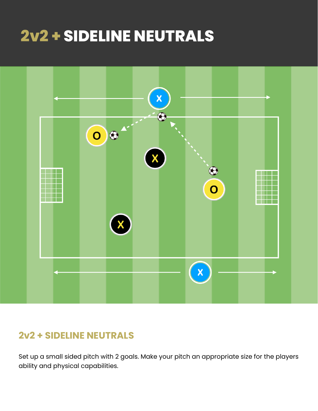# **2v2 + SIDELINE NEUTRALS**



#### **2v2 + SIDELINE NEUTRALS**

Set up a small sided pitch with 2 goals. Make your pitch an appropriate size for the players ability and physical capabilities.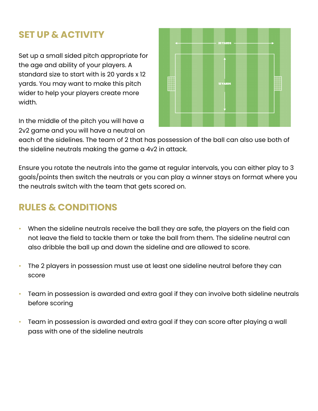#### **SET UP & ACTIVITY**

Set up a small sided pitch appropriate for the age and ability of your players. A standard size to start with is 20 yards x 12 yards. You may want to make this pitch wider to help your players create more width.

**12 YARDS** 

In the middle of the pitch you will have a 2v2 game and you will have a neutral on

each of the sidelines. The team of 2 that has possession of the ball can also use both of the sideline neutrals making the game a 4v2 in attack.

Ensure you rotate the neutrals into the game at regular intervals, you can either play to 3 goals/points then switch the neutrals or you can play a winner stays on format where you the neutrals switch with the team that gets scored on.

### **RULES & CONDITIONS**

- When the sideline neutrals receive the ball they are safe, the players on the field can not leave the field to tackle them or take the ball from them. The sideline neutral can also dribble the ball up and down the sideline and are allowed to score.
- The 2 players in possession must use at least one sideline neutral before they can score
- Team in possession is awarded and extra goal if they can involve both sideline neutrals before scoring
- Team in possession is awarded and extra goal if they can score after playing a wall pass with one of the sideline neutrals